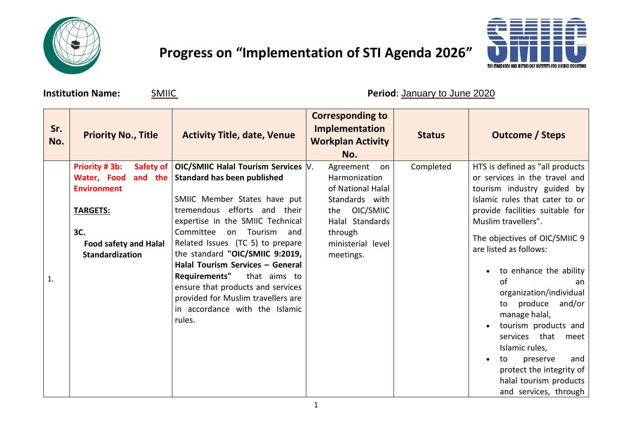

## **Progress on "Implementation of STI Agenda 2026"**



**Institution Name:**  $\frac{SMIIC}{S}$  **Period**: January to June 2020

| Sr.<br>No. | <b>Priority No., Title</b>                                                                                                                                     | <b>Activity Title, date, Venue</b>                                                                                                                                                                                                                                                                                                                                                                                                                                                         | <b>Corresponding to</b><br><b>Implementation</b><br><b>Workplan Activity</b><br>No.                                                                      | <b>Status</b> | <b>Outcome / Steps</b>                                                                                                                                                                                                                                                                                                                                                                                                                                                                                                                  |
|------------|----------------------------------------------------------------------------------------------------------------------------------------------------------------|--------------------------------------------------------------------------------------------------------------------------------------------------------------------------------------------------------------------------------------------------------------------------------------------------------------------------------------------------------------------------------------------------------------------------------------------------------------------------------------------|----------------------------------------------------------------------------------------------------------------------------------------------------------|---------------|-----------------------------------------------------------------------------------------------------------------------------------------------------------------------------------------------------------------------------------------------------------------------------------------------------------------------------------------------------------------------------------------------------------------------------------------------------------------------------------------------------------------------------------------|
| 1.         | Priority #3b:<br>Safety of<br>and the<br>Water, Food<br><b>Environment</b><br><b>TARGETS:</b><br>3C.<br><b>Food safety and Halal</b><br><b>Standardization</b> | OIC/SMIIC Halal Tourism Services  V.<br><b>Standard has been published</b><br>SMIIC Member States have put<br>tremendous efforts and their<br>expertise in the SMIIC Technical<br>Committee<br>on Tourism<br>and<br>Related Issues (TC 5) to prepare<br>the standard "OIC/SMIIC 9:2019,<br>Halal Tourism Services - General<br><b>Requirements"</b><br>that aims to<br>ensure that products and services<br>provided for Muslim travellers are<br>in accordance with the Islamic<br>rules. | Agreement<br>on<br>Harmonization<br>of National Halal<br>Standards with<br>the OIC/SMIIC<br>Halal Standards<br>through<br>ministerial level<br>meetings. | Completed     | HTS is defined as "all products<br>or services in the travel and<br>tourism industry guided by<br>Islamic rules that cater to or<br>provide facilities suitable for<br>Muslim travellers".<br>The objectives of OIC/SMIIC 9<br>are listed as follows:<br>to enhance the ability<br>of<br>an<br>organization/individual<br>to produce and/or<br>manage halal,<br>tourism products and<br>services that<br>meet<br>Islamic rules,<br>and<br>preserve<br>to<br>protect the integrity of<br>halal tourism products<br>and services, through |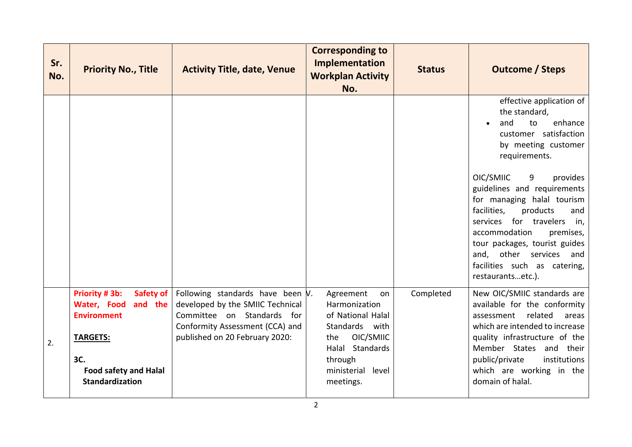| Sr.<br>No. | <b>Priority No., Title</b>                                                                           | <b>Activity Title, date, Venue</b>                                                                                                                                         | <b>Corresponding to</b><br>Implementation<br><b>Workplan Activity</b><br>No.                                   | <b>Status</b> | <b>Outcome / Steps</b>                                                                                                                                                                                                                                                            |
|------------|------------------------------------------------------------------------------------------------------|----------------------------------------------------------------------------------------------------------------------------------------------------------------------------|----------------------------------------------------------------------------------------------------------------|---------------|-----------------------------------------------------------------------------------------------------------------------------------------------------------------------------------------------------------------------------------------------------------------------------------|
|            |                                                                                                      |                                                                                                                                                                            |                                                                                                                |               | effective application of<br>the standard,<br>enhance<br>and<br>to<br>customer satisfaction<br>by meeting customer<br>requirements.<br>OIC/SMIIC<br>9<br>provides                                                                                                                  |
|            |                                                                                                      |                                                                                                                                                                            |                                                                                                                |               | guidelines and requirements<br>for managing halal tourism<br>facilities,<br>products<br>and<br>for travelers<br>services<br>in,<br>accommodation<br>premises,<br>tour packages, tourist guides<br>and, other services<br>and<br>facilities such as catering,<br>restaurantsetc.). |
| 2.         | <b>Priority #3b:</b><br>Safety of<br>Water, Food<br>and the<br><b>Environment</b><br><b>TARGETS:</b> | Following standards have been $V$ .<br>developed by the SMIIC Technical<br>Committee on Standards for<br>Conformity Assessment (CCA) and<br>published on 20 February 2020: | Agreement<br>on<br>Harmonization<br>of National Halal<br>Standards with<br>OIC/SMIIC<br>the<br>Halal Standards | Completed     | New OIC/SMIIC standards are<br>available for the conformity<br>related<br>assessment<br>areas<br>which are intended to increase<br>quality infrastructure of the<br>Member States and their                                                                                       |
|            | 3C.<br><b>Food safety and Halal</b><br><b>Standardization</b>                                        |                                                                                                                                                                            | through<br>ministerial<br>level<br>meetings.<br>$\overline{2}$                                                 |               | public/private<br>institutions<br>which are working in the<br>domain of halal.                                                                                                                                                                                                    |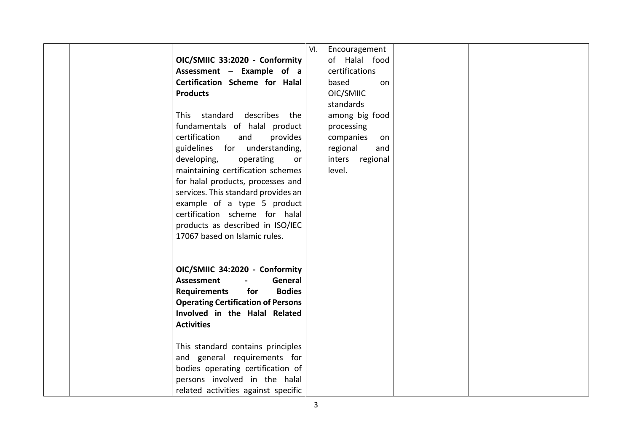|  | OIC/SMIIC 33:2020 - Conformity<br>Assessment - Example of a<br>Certification Scheme for Halal<br><b>Products</b><br>This standard describes the<br>fundamentals of halal product<br>certification<br>and<br>provides<br>guidelines for understanding,<br>developing,<br>operating<br>or<br>maintaining certification schemes<br>for halal products, processes and<br>services. This standard provides an<br>example of a type 5 product<br>certification scheme for halal<br>products as described in ISO/IEC<br>17067 based on Islamic rules. | Encouragement<br>VI.<br>of Halal food<br>certifications<br>based<br>on<br>OIC/SMIIC<br>standards<br>among big food<br>processing<br>companies<br>on<br>regional<br>and<br>inters regional<br>level. |  |
|--|------------------------------------------------------------------------------------------------------------------------------------------------------------------------------------------------------------------------------------------------------------------------------------------------------------------------------------------------------------------------------------------------------------------------------------------------------------------------------------------------------------------------------------------------|-----------------------------------------------------------------------------------------------------------------------------------------------------------------------------------------------------|--|
|  | OIC/SMIIC 34:2020 - Conformity<br><b>Assessment</b><br>General<br>$\blacksquare$<br>Requirements<br>for<br><b>Bodies</b><br><b>Operating Certification of Persons</b><br>Involved in the Halal Related<br><b>Activities</b>                                                                                                                                                                                                                                                                                                                    |                                                                                                                                                                                                     |  |
|  | This standard contains principles<br>and general requirements for<br>bodies operating certification of<br>persons involved in the halal<br>related activities against specific                                                                                                                                                                                                                                                                                                                                                                 |                                                                                                                                                                                                     |  |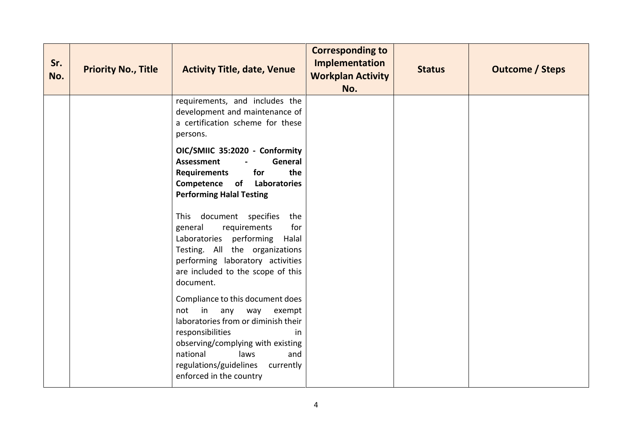| Sr.<br>No. | <b>Priority No., Title</b> | <b>Activity Title, date, Venue</b>                                                                                                                                                                                                                                    | <b>Corresponding to</b><br>Implementation<br><b>Workplan Activity</b><br>No. | <b>Status</b> | <b>Outcome / Steps</b> |
|------------|----------------------------|-----------------------------------------------------------------------------------------------------------------------------------------------------------------------------------------------------------------------------------------------------------------------|------------------------------------------------------------------------------|---------------|------------------------|
|            |                            | requirements, and includes the<br>development and maintenance of<br>a certification scheme for these<br>persons.                                                                                                                                                      |                                                                              |               |                        |
|            |                            | OIC/SMIIC 35:2020 - Conformity<br>General<br><b>Assessment</b><br><b>Requirements</b><br>for<br>the<br>Competence of Laboratories<br><b>Performing Halal Testing</b>                                                                                                  |                                                                              |               |                        |
|            |                            | This document specifies the<br>for<br>general<br>requirements<br>Laboratories performing<br>Halal<br>Testing. All the organizations<br>performing laboratory activities<br>are included to the scope of this<br>document.                                             |                                                                              |               |                        |
|            |                            | Compliance to this document does<br>not in<br>any<br>way<br>exempt<br>laboratories from or diminish their<br>responsibilities<br>in<br>observing/complying with existing<br>national<br>laws<br>and<br>regulations/guidelines<br>currently<br>enforced in the country |                                                                              |               |                        |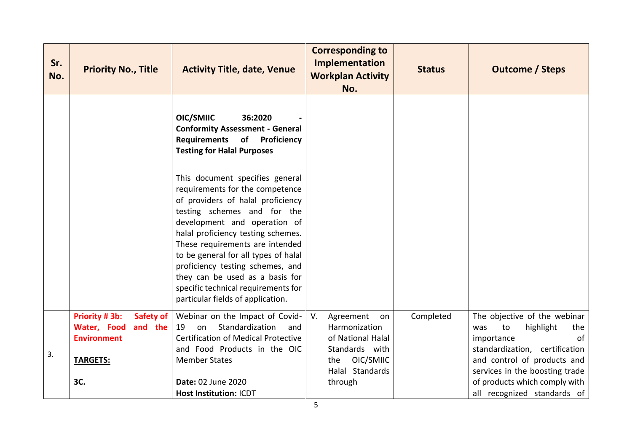| Sr.<br>No. | <b>Priority No., Title</b>                                                  | <b>Activity Title, date, Venue</b>                                                                                                                                                                                                                                                                                                                                                                                                         | <b>Corresponding to</b><br><b>Implementation</b><br><b>Workplan Activity</b><br>No. | <b>Status</b> | <b>Outcome / Steps</b>                                                                                              |
|------------|-----------------------------------------------------------------------------|--------------------------------------------------------------------------------------------------------------------------------------------------------------------------------------------------------------------------------------------------------------------------------------------------------------------------------------------------------------------------------------------------------------------------------------------|-------------------------------------------------------------------------------------|---------------|---------------------------------------------------------------------------------------------------------------------|
|            |                                                                             | OIC/SMIIC<br>36:2020<br><b>Conformity Assessment - General</b><br>Requirements of Proficiency<br><b>Testing for Halal Purposes</b>                                                                                                                                                                                                                                                                                                         |                                                                                     |               |                                                                                                                     |
|            |                                                                             | This document specifies general<br>requirements for the competence<br>of providers of halal proficiency<br>testing schemes and for the<br>development and operation of<br>halal proficiency testing schemes.<br>These requirements are intended<br>to be general for all types of halal<br>proficiency testing schemes, and<br>they can be used as a basis for<br>specific technical requirements for<br>particular fields of application. |                                                                                     |               |                                                                                                                     |
|            | Priority # 3b:<br>Safety of<br>Water, Food<br>and the<br><b>Environment</b> | Webinar on the Impact of Covid-<br>Standardization<br>19<br>on<br>and<br>Certification of Medical Protective<br>and Food Products in the OIC                                                                                                                                                                                                                                                                                               | V.<br>Agreement<br>on<br>Harmonization<br>of National Halal<br>Standards with       | Completed     | The objective of the webinar<br>to<br>highlight<br>was<br>the<br>of<br>importance<br>standardization, certification |
| 3.         | <b>TARGETS:</b>                                                             | <b>Member States</b>                                                                                                                                                                                                                                                                                                                                                                                                                       | OIC/SMIIC<br>the<br>Halal Standards                                                 |               | and control of products and<br>services in the boosting trade                                                       |
|            | 3C.                                                                         | <b>Date: 02 June 2020</b><br>Host Institution: ICDT                                                                                                                                                                                                                                                                                                                                                                                        | through                                                                             |               | of products which comply with<br>all recognized standards of                                                        |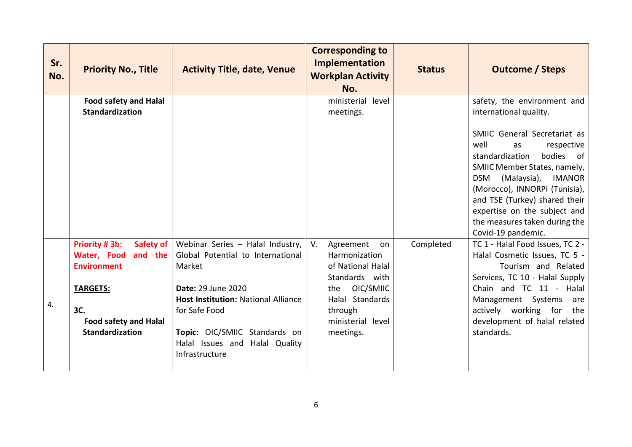| Sr.<br>No. | <b>Priority No., Title</b>                                                                                                                                     | <b>Activity Title, date, Venue</b>                                                                                                                                                                                                                               | <b>Corresponding to</b><br>Implementation<br><b>Workplan Activity</b><br>No.                                                                                      | <b>Status</b> | <b>Outcome / Steps</b>                                                                                                                                                                                                                                                                                                                                                                      |
|------------|----------------------------------------------------------------------------------------------------------------------------------------------------------------|------------------------------------------------------------------------------------------------------------------------------------------------------------------------------------------------------------------------------------------------------------------|-------------------------------------------------------------------------------------------------------------------------------------------------------------------|---------------|---------------------------------------------------------------------------------------------------------------------------------------------------------------------------------------------------------------------------------------------------------------------------------------------------------------------------------------------------------------------------------------------|
|            | <b>Food safety and Halal</b><br><b>Standardization</b>                                                                                                         |                                                                                                                                                                                                                                                                  | ministerial<br>level<br>meetings.                                                                                                                                 |               | safety, the environment and<br>international quality.<br>SMIIC General Secretariat as<br>well<br>respective<br>as<br>standardization<br>bodies<br>of<br>SMIIC Member States, namely,<br>(Malaysia),<br><b>IMANOR</b><br><b>DSM</b><br>(Morocco), INNORPI (Tunisia),<br>and TSE (Turkey) shared their<br>expertise on the subject and<br>the measures taken during the<br>Covid-19 pandemic. |
| 4.         | Priority #3b:<br>Safety of<br>and the<br>Water, Food<br><b>Environment</b><br><b>TARGETS:</b><br>3C.<br><b>Food safety and Halal</b><br><b>Standardization</b> | Webinar Series - Halal Industry,<br>Global Potential to International<br>Market<br><b>Date: 29 June 2020</b><br><b>Host Institution: National Alliance</b><br>for Safe Food<br>Topic: OIC/SMIIC Standards on<br>Halal Issues and Halal Quality<br>Infrastructure | V.<br>Agreement<br>on<br>Harmonization<br>of National Halal<br>Standards with<br>OIC/SMIIC<br>the<br>Halal Standards<br>through<br>ministerial level<br>meetings. | Completed     | TC 1 - Halal Food Issues, TC 2 -<br>Halal Cosmetic Issues, TC 5 -<br>Tourism and Related<br>Services, TC 10 - Halal Supply<br>Chain and TC 11 - Halal<br>Management Systems<br>are<br>actively working for<br>the<br>development of halal related<br>standards.                                                                                                                             |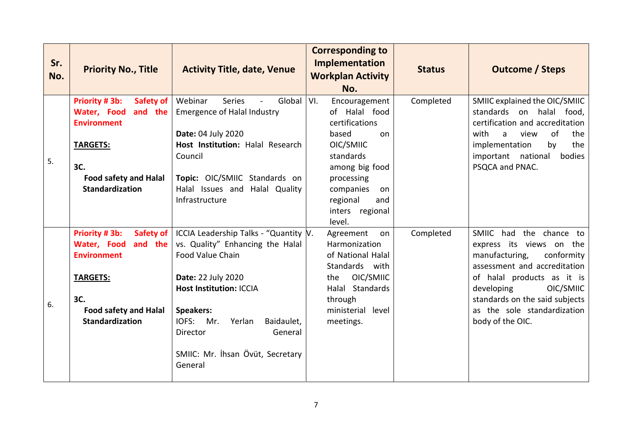| Sr.<br>No. | <b>Priority No., Title</b>                                                                                                                                     | <b>Activity Title, date, Venue</b>                                                                                                                                                                                                                                                      | <b>Corresponding to</b><br>Implementation<br><b>Workplan Activity</b><br>No.                                                                                                                        | <b>Status</b> | <b>Outcome / Steps</b>                                                                                                                                                                                                                                            |
|------------|----------------------------------------------------------------------------------------------------------------------------------------------------------------|-----------------------------------------------------------------------------------------------------------------------------------------------------------------------------------------------------------------------------------------------------------------------------------------|-----------------------------------------------------------------------------------------------------------------------------------------------------------------------------------------------------|---------------|-------------------------------------------------------------------------------------------------------------------------------------------------------------------------------------------------------------------------------------------------------------------|
| 5.         | Priority #3b:<br>Safety of<br>Water, Food<br>and the<br><b>Environment</b><br><b>TARGETS:</b><br>3C.<br><b>Food safety and Halal</b><br><b>Standardization</b> | Webinar<br><b>Series</b><br>Global<br><b>Emergence of Halal Industry</b><br>Date: 04 July 2020<br>Host Institution: Halal Research<br>Council<br>Topic: OIC/SMIIC Standards on<br>Halal Issues and Halal Quality<br>Infrastructure                                                      | VI.<br>Encouragement<br>of Halal food<br>certifications<br>based<br>on<br>OIC/SMIIC<br>standards<br>among big food<br>processing<br>companies<br>on<br>regional<br>and<br>inters regional<br>level. | Completed     | SMIIC explained the OIC/SMIIC<br>standards on halal food,<br>certification and accreditation<br>of<br>with<br>a<br>view<br>the<br>the<br>implementation<br>by<br>important national<br>bodies<br>PSQCA and PNAC.                                                  |
| 6.         | Priority #3b:<br>Safety of<br>and the<br>Water, Food<br><b>Environment</b><br><b>TARGETS:</b><br>3C.<br><b>Food safety and Halal</b><br>Standardization        | ICCIA Leadership Talks - "Quantity V.<br>vs. Quality" Enhancing the Halal<br>Food Value Chain<br>Date: 22 July 2020<br><b>Host Institution: ICCIA</b><br><b>Speakers:</b><br>IOFS:<br>Baidaulet,<br>Mr.<br>Yerlan<br>General<br>Director<br>SMIIC: Mr. İhsan Övüt, Secretary<br>General | Agreement<br>on<br>Harmonization<br>of National Halal<br>Standards with<br>OIC/SMIIC<br>the<br>Halal Standards<br>through<br>ministerial level<br>meetings.                                         | Completed     | SMIIC had the chance to<br>express its views on the<br>manufacturing,<br>conformity<br>assessment and accreditation<br>of halal products as it is<br>OIC/SMIIC<br>developing<br>standards on the said subjects<br>as the sole standardization<br>body of the OIC. |